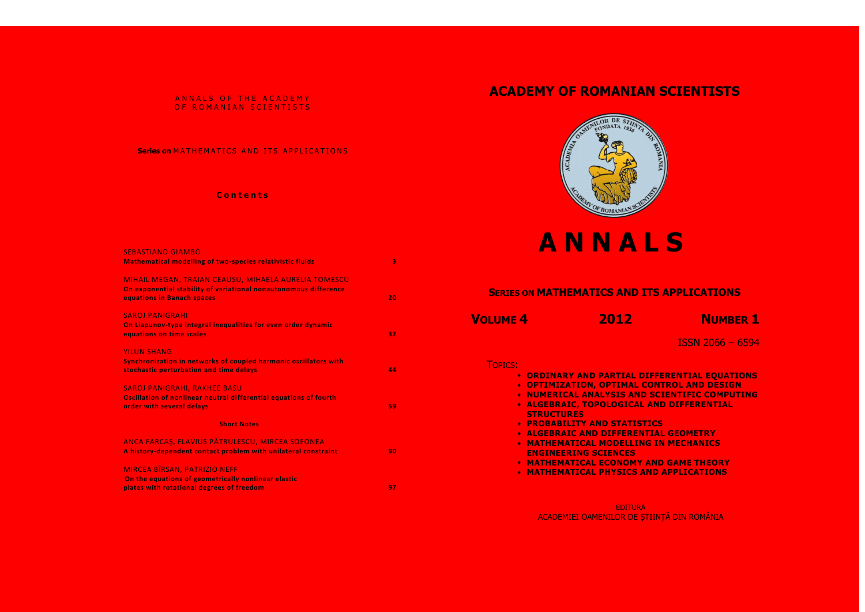# ANNALS OF THE ACADEMY OF ROMANIAN SCIENTISTS

# **Series on MATHEMATICS AND ITS APPLICATIONS**

# **C o n t e n t s**

| <b>SEBASTIANO GIAMBÒ</b>                                                                                                                               |    |
|--------------------------------------------------------------------------------------------------------------------------------------------------------|----|
| <b>Mathematical modelling of two-species relativistic fluids</b>                                                                                       | 3  |
| MIHAIL MEGAN, TRAIAN CEAUSU, MIHAELA AURELIA TOMESCU<br>On exponential stability of variational nonautonomous difference<br>equations in Banach spaces | 20 |
| <b>SAROJ PANIGRAHI</b><br>On Liapunov-type integral inequalities for even order dynamic<br>equations on time scales                                    | 32 |
| <b>YILUN SHANG</b>                                                                                                                                     |    |
| Synchronization in networks of coupled harmonic oscillators with<br>stochastic perturbation and time delays                                            | 44 |
| <b>SAROJ PANIGRAHI, RAKHEE BASU</b>                                                                                                                    |    |
| Oscillation of nonlinear neutral differential equations of fourth<br>order with several delays                                                         | 59 |
| <b>Short Notes</b>                                                                                                                                     |    |
| ANCA FARCAȘ, FLAVIUS PĂTRULESCU, MIRCEA SOFONEA                                                                                                        |    |
| A history-dependent contact problem with unilateral constraint                                                                                         | 90 |
| MIRCEA BÎRSAN, PATRIZIO NEFF                                                                                                                           |    |
| On the equations of geometrically nonlinear elastic                                                                                                    |    |
| plates with rotational degrees of freedom                                                                                                              | 97 |

**FERENTIAL EQUATIONS NTROL AND DESIGN NUMERIC COMPUTING ALGEBRAIC, TOPOLOGICAL AND DIFFERENTIAL** 

**AL GEOMETRY IN MECHANICS** 

**ND GAME THEORY MATHEMATIONS** 

# **ACADEMY OF ROMANIAN SCIENTISTS**



# **A N N A L S**

ISSN 2066 – 6594

|                 |                   | <b>SERIES ON MATHEMATICS AND ITS</b>                                                                                                                                                                                                                                                                                                                                                   |  |
|-----------------|-------------------|----------------------------------------------------------------------------------------------------------------------------------------------------------------------------------------------------------------------------------------------------------------------------------------------------------------------------------------------------------------------------------------|--|
| <b>VOLUME 4</b> |                   | 2012                                                                                                                                                                                                                                                                                                                                                                                   |  |
| <b>TOPICS:</b>  | <b>STRUCTURES</b> | <b>• ORDINARY AND PARTIAL DIFFE</b><br><b>• OPTIMIZATION, OPTIMAL CONT</b><br><b>* NUMERICAL ANALYSIS AND SC</b><br><b>• ALGEBRAIC, TOPOLOGICAL ANI</b><br><b>• PROBABILITY AND STATISTICS</b><br><b>* ALGEBRAIC AND DIFFERENTIAL</b><br><b>• MATHEMATICAL MODELLING IN</b><br><b>ENGINEERING SCIENCES</b><br><b>• MATHEMATICAL ECONOMY AND</b><br><b>• MATHEMATICAL PHYSICS AND .</b> |  |

EDITURA ACADEMIEI OAMENILOR DE ȘTIINȚĂ DIN ROMÂNIA



# **SAPPLICATIONS**

**NUMBER 1**